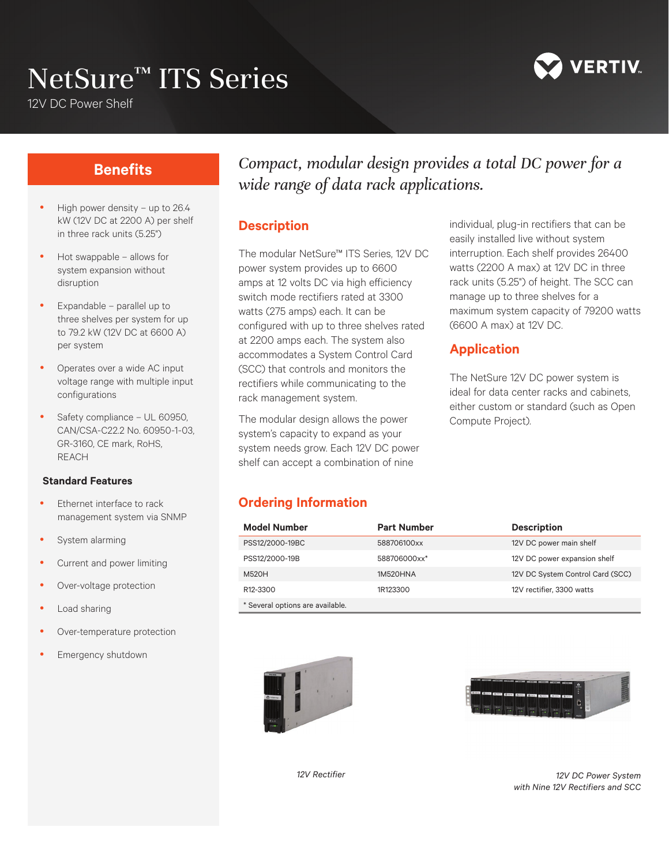# NetSure<sup>™</sup> ITS Series



12V DC Power Shelf

### **Benefits**

- High power density up to 26.4 kW (12V DC at 2200 A) per shelf in three rack units (5.25")
- Hot swappable allows for system expansion without disruption
- Expandable parallel up to three shelves per system for up to 79.2 kW (12V DC at 6600 A) per system
- Operates over a wide AC input voltage range with multiple input configurations
- Safety compliance UL 60950, CAN/CSA-C22.2 No. 60950-1-03, GR-3160, CE mark, RoHS, REACH

#### **Standard Features**

- Ethernet interface to rack management system via SNMP
- System alarming
- Current and power limiting
- Over-voltage protection
- Load sharing
- Over-temperature protection
- Emergency shutdown

## *Compact, modular design provides a total DC power for a wide range of data rack applications.*

#### **Description**

The modular NetSure™ ITS Series, 12V DC power system provides up to 6600 amps at 12 volts DC via high efficiency switch mode rectifiers rated at 3300 watts (275 amps) each. It can be configured with up to three shelves rated at 2200 amps each. The system also accommodates a System Control Card (SCC) that controls and monitors the rectifiers while communicating to the rack management system.

The modular design allows the power system's capacity to expand as your system needs grow. Each 12V DC power shelf can accept a combination of nine

individual, plug-in rectifiers that can be easily installed live without system interruption. Each shelf provides 26400 watts (2200 A max) at 12V DC in three rack units (5.25") of height. The SCC can manage up to three shelves for a maximum system capacity of 79200 watts (6600 A max) at 12V DC.

#### **Application**

The NetSure 12V DC power system is ideal for data center racks and cabinets, either custom or standard (such as Open Compute Project).

#### **Ordering Information**

| <b>Model Number</b>              | <b>Part Number</b> | <b>Description</b>               |
|----------------------------------|--------------------|----------------------------------|
| PSS12/2000-19BC                  | 588706100xx        | 12V DC power main shelf          |
| PSS12/2000-19B                   | 588706000xx*       | 12V DC power expansion shelf     |
| M520H                            | 1M520HNA           | 12V DC System Control Card (SCC) |
| R <sub>12</sub> -3300            | 1R123300           | 12V rectifier, 3300 watts        |
| * Several options are available. |                    |                                  |





*12V Rectifier 12V DC Power System with Nine 12V Rectifiers and SCC*